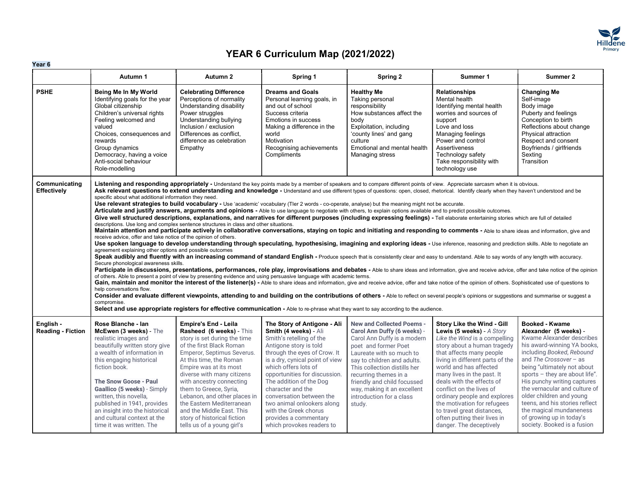

| Year 6                                |                                                                                                                                                                                                                                                                                                                                                                                                                                                                                                                                                                                                                                                                                                                                                                                                                                                                                                                                                                                                                                                                                                                                                                                                                                                                                                                                                                                                                                                                                                                                                                                                                                                                                                                                                                                                                                                                                                                                                                                                                                                                                                                                                                                                                                                                                                                                                                                                                                                                                                                                                                                                                                                                                                                                                                |                                                                                                                                                                                                                                                                                                                                                                                                                                                   |                                                                                                                                                                                                                                                                                                                                                                                                                                 |                                                                                                                                                                                                                                                                                                                                                |                                                                                                                                                                                                                                                                                                                                                                                                                                                                  |                                                                                                                                                                                                                                                                                                                                                                                                                                                 |  |  |  |  |
|---------------------------------------|----------------------------------------------------------------------------------------------------------------------------------------------------------------------------------------------------------------------------------------------------------------------------------------------------------------------------------------------------------------------------------------------------------------------------------------------------------------------------------------------------------------------------------------------------------------------------------------------------------------------------------------------------------------------------------------------------------------------------------------------------------------------------------------------------------------------------------------------------------------------------------------------------------------------------------------------------------------------------------------------------------------------------------------------------------------------------------------------------------------------------------------------------------------------------------------------------------------------------------------------------------------------------------------------------------------------------------------------------------------------------------------------------------------------------------------------------------------------------------------------------------------------------------------------------------------------------------------------------------------------------------------------------------------------------------------------------------------------------------------------------------------------------------------------------------------------------------------------------------------------------------------------------------------------------------------------------------------------------------------------------------------------------------------------------------------------------------------------------------------------------------------------------------------------------------------------------------------------------------------------------------------------------------------------------------------------------------------------------------------------------------------------------------------------------------------------------------------------------------------------------------------------------------------------------------------------------------------------------------------------------------------------------------------------------------------------------------------------------------------------------------------|---------------------------------------------------------------------------------------------------------------------------------------------------------------------------------------------------------------------------------------------------------------------------------------------------------------------------------------------------------------------------------------------------------------------------------------------------|---------------------------------------------------------------------------------------------------------------------------------------------------------------------------------------------------------------------------------------------------------------------------------------------------------------------------------------------------------------------------------------------------------------------------------|------------------------------------------------------------------------------------------------------------------------------------------------------------------------------------------------------------------------------------------------------------------------------------------------------------------------------------------------|------------------------------------------------------------------------------------------------------------------------------------------------------------------------------------------------------------------------------------------------------------------------------------------------------------------------------------------------------------------------------------------------------------------------------------------------------------------|-------------------------------------------------------------------------------------------------------------------------------------------------------------------------------------------------------------------------------------------------------------------------------------------------------------------------------------------------------------------------------------------------------------------------------------------------|--|--|--|--|
|                                       | Autumn 1                                                                                                                                                                                                                                                                                                                                                                                                                                                                                                                                                                                                                                                                                                                                                                                                                                                                                                                                                                                                                                                                                                                                                                                                                                                                                                                                                                                                                                                                                                                                                                                                                                                                                                                                                                                                                                                                                                                                                                                                                                                                                                                                                                                                                                                                                                                                                                                                                                                                                                                                                                                                                                                                                                                                                       | Autumn 2                                                                                                                                                                                                                                                                                                                                                                                                                                          | Spring 1                                                                                                                                                                                                                                                                                                                                                                                                                        | Spring 2                                                                                                                                                                                                                                                                                                                                       | Summer 1                                                                                                                                                                                                                                                                                                                                                                                                                                                         | Summer 2                                                                                                                                                                                                                                                                                                                                                                                                                                        |  |  |  |  |
| <b>PSHE</b>                           | Being Me In My World<br>Identifying goals for the year<br>Global citizenship<br>Children's universal rights<br>Feeling welcomed and<br>valued<br>Choices, consequences and<br>rewards<br>Group dynamics<br>Democracy, having a voice<br>Anti-social behaviour<br>Role-modelling                                                                                                                                                                                                                                                                                                                                                                                                                                                                                                                                                                                                                                                                                                                                                                                                                                                                                                                                                                                                                                                                                                                                                                                                                                                                                                                                                                                                                                                                                                                                                                                                                                                                                                                                                                                                                                                                                                                                                                                                                                                                                                                                                                                                                                                                                                                                                                                                                                                                                | <b>Celebrating Difference</b><br>Perceptions of normality<br>Understanding disability<br>Power struggles<br>Understanding bullying<br>Inclusion / exclusion<br>Differences as conflict.<br>difference as celebration<br>Empathy                                                                                                                                                                                                                   | <b>Dreams and Goals</b><br>Personal learning goals, in<br>and out of school<br>Success criteria<br>Emotions in success<br>Making a difference in the<br>world<br>Motivation<br>Recognising achievements<br>Compliments                                                                                                                                                                                                          | <b>Healthy Me</b><br>Taking personal<br>responsibility<br>How substances affect the<br>body<br>Exploitation, including<br>'county lines' and gang<br>culture<br>Emotional and mental health<br>Managing stress                                                                                                                                 | <b>Relationships</b><br>Mental health<br>Identifying mental health<br>worries and sources of<br>support<br>Love and loss<br>Managing feelings<br>Power and control<br>Assertiveness<br>Technology safety<br>Take responsibility with<br>technology use                                                                                                                                                                                                           | <b>Changing Me</b><br>Self-image<br>Body image<br>Puberty and feelings<br>Conception to birth<br>Reflections about change<br>Physical attraction<br>Respect and consent<br>Boyfriends / girlfriends<br>Sexting<br>Transition                                                                                                                                                                                                                    |  |  |  |  |
| Communicating<br>Effectively          | Listening and responding appropriately - Understand the key points made by a member of speakers and to compare different points of view. Appreciate sarcasm when it is obvious.<br>Ask relevant questions to extend understanding and knowledge - Understand and use different types of questions: open, closed, rhetorical. Identify clearly when they haven't understood and be<br>specific about what additional information they need.<br>Use relevant strategies to build vocabulary - Use 'academic' vocabulary (Tler 2 words - co-operate, analyse) but the meaning might not be accurate.<br>Articulate and justify answers, arguments and opinions - Able to use language to negotiate with others, to explain options available and to predict possible outcomes.<br>Give well structured descriptions, explanations, and narratives for different purposes (including expressing feelings) - Tell elaborate entertaining stories which are full of detailed<br>descriptions. Use long and complex sentence structures in class and other situations.<br>Maintain attention and participate actively in collaborative conversations, staying on topic and initiating and responding to comments - Able to share ideas and information, give and<br>receive advice, offer and take notice of the opinion of others.<br>Use spoken language to develop understanding through speculating, hypothesising, imagining and exploring ideas - Use inference, reasoning and prediction skills. Able to negotiate an<br>agreement explaining other options and possible outcomes<br>Speak audibly and fluently with an increasing command of standard English - Produce speech that is consistently clear and easy to understand. Able to say words of any length with accuracy.<br>Secure phonological awareness skills.<br>Participate in discussions, presentations, performances, role play, improvisations and debates - Able to share ideas and information, give and receive advice, offer and take notice of the opinion<br>of others. Able to present a point of view by presenting evidence and using persuasive language with academic terms.<br>Gain, maintain and monitor the interest of the listener(s) - Able to share ideas and information, give and receive advice, offer and take notice of the opinion of others. Sophisticated use of questions to<br>help conversations flow.<br>Consider and evaluate different viewpoints, attending to and building on the contributions of others - Able to reflect on several people's opinions or suggestions and summarise or suggest a<br>compromise.<br>Select and use appropriate registers for effective communication - Able to re-phrase what they want to say according to the audience. |                                                                                                                                                                                                                                                                                                                                                                                                                                                   |                                                                                                                                                                                                                                                                                                                                                                                                                                 |                                                                                                                                                                                                                                                                                                                                                |                                                                                                                                                                                                                                                                                                                                                                                                                                                                  |                                                                                                                                                                                                                                                                                                                                                                                                                                                 |  |  |  |  |
| English -<br><b>Reading - Fiction</b> | Rose Blanche - Ian<br>McEwen (3 weeks) - The<br>realistic images and<br>beautifully written story give<br>a wealth of information in<br>this engaging historical<br>fiction book.<br><b>The Snow Goose - Paul</b><br>Gaallico (5 weeks) - Simply<br>written, this novella,<br>published in 1941, provides<br>an insight into the historical<br>and cultural context at the<br>time it was written. The                                                                                                                                                                                                                                                                                                                                                                                                                                                                                                                                                                                                                                                                                                                                                                                                                                                                                                                                                                                                                                                                                                                                                                                                                                                                                                                                                                                                                                                                                                                                                                                                                                                                                                                                                                                                                                                                                                                                                                                                                                                                                                                                                                                                                                                                                                                                                         | <b>Empire's End - Leila</b><br>Rasheed (6 weeks) - This<br>story is set during the time<br>of the first Black Roman<br>Emperor, Septimus Severus.<br>At this time, the Roman<br>Empire was at its most<br>diverse with many citizens<br>with ancestry connecting<br>them to Greece, Syria,<br>Lebanon, and other places in<br>the Eastern Mediterranean<br>and the Middle East. This<br>story of historical fiction<br>tells us of a young girl's | The Story of Antigone - Ali<br>Smith (4 weeks) - Ali<br>Smith's retelling of the<br>Antigone story is told<br>through the eyes of Crow. It<br>is a dry, cynical point of view<br>which offers lots of<br>opportunities for discussion.<br>The addition of the Dog<br>character and the<br>conversation between the<br>two animal onlookers along<br>with the Greek chorus<br>provides a commentary<br>which provokes readers to | <b>New and Collected Poems -</b><br>Carol Ann Duffy (6 weeks) -<br>Carol Ann Duffy is a modern<br>poet and former Poet<br>Laureate with so much to<br>say to children and adults.<br>This collection distills her<br>recurring themes in a<br>friendly and child focussed<br>way, making it an excellent<br>introduction for a class<br>study. | Story Like the Wind - Gill<br>Lewis (5 weeks) - A Story<br>Like the Wind is a compelling<br>story about a human tragedy<br>that affects many people<br>living in different parts of the<br>world and has affected<br>many lives in the past. It<br>deals with the effects of<br>conflict on the lives of<br>ordinary people and explores<br>the motivation for refugees<br>to travel great distances,<br>often putting their lives in<br>danger. The deceptively | Booked - Kwame<br>Alexander (5 weeks) -<br>Kwame Alexander describes<br>his award-winning YA books,<br>including Booked, Rebound<br>and The Crossover - as<br>being "ultimately not about<br>sports - they are about life".<br>His punchy writing captures<br>the vernacular and culture of<br>older children and young<br>teens, and his stories reflect<br>the magical mundaneness<br>of growing up in today's<br>society. Booked is a fusion |  |  |  |  |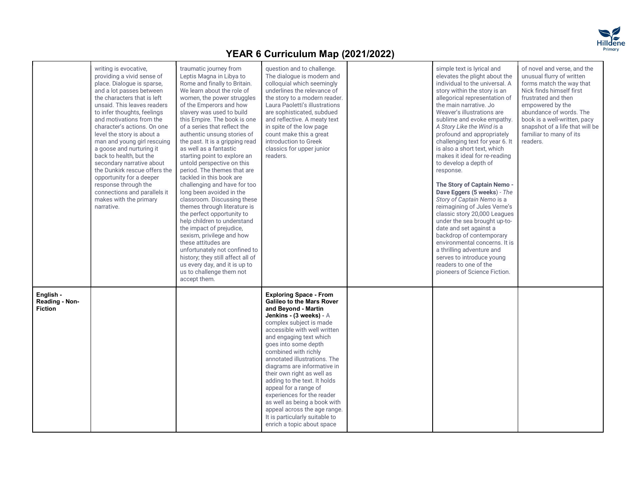

|                                               | writing is evocative.<br>providing a vivid sense of<br>place. Dialogue is sparse,<br>and a lot passes between<br>the characters that is left<br>unsaid. This leaves readers<br>to infer thoughts, feelings<br>and motivations from the<br>character's actions. On one<br>level the story is about a<br>man and young girl rescuing<br>a goose and nurturing it<br>back to health, but the<br>secondary narrative about<br>the Dunkirk rescue offers the<br>opportunity for a deeper<br>response through the<br>connections and parallels it<br>makes with the primary<br>narrative. | traumatic journey from<br>Leptis Magna in Libya to<br>Rome and finally to Britain.<br>We learn about the role of<br>women, the power struggles<br>of the Emperors and how<br>slavery was used to build<br>this Empire. The book is one<br>of a series that reflect the<br>authentic unsung stories of<br>the past. It is a gripping read<br>as well as a fantastic<br>starting point to explore an<br>untold perspective on this<br>period. The themes that are<br>tackled in this book are<br>challenging and have for too<br>long been avoided in the<br>classroom. Discussing these<br>themes through literature is<br>the perfect opportunity to<br>help children to understand<br>the impact of prejudice,<br>sexism, privilege and how<br>these attitudes are<br>unfortunately not confined to<br>history; they still affect all of<br>us every day, and it is up to<br>us to challenge them not<br>accept them. | question and to challenge.<br>The dialogue is modern and<br>colloquial which seemingly<br>underlines the relevance of<br>the story to a modern reader.<br>Laura Paoletti's illustrations<br>are sophisticated, subdued<br>and reflective. A meaty text<br>in spite of the low page<br>count make this a great<br>introduction to Greek<br>classics for upper junior<br>readers.                                                                                                                                                                                        | simple text is lyrical and<br>elevates the plight about the<br>individual to the universal. A<br>story within the story is an<br>allegorical representation of<br>the main narrative. Jo<br>Weaver's illustrations are<br>sublime and evoke empathy.<br>A Story Like the Wind is a<br>profound and appropriately<br>challenging text for year 6. It<br>is also a short text, which<br>makes it ideal for re-reading<br>to develop a depth of<br>response.<br>The Story of Captain Nemo -<br>Dave Eggers (5 weeks) - The<br>Story of Captain Nemo is a<br>reimagining of Jules Verne's<br>classic story 20,000 Leagues<br>under the sea brought up-to-<br>date and set against a<br>backdrop of contemporary<br>environmental concerns. It is<br>a thrilling adventure and<br>serves to introduce young<br>readers to one of the<br>pioneers of Science Fiction. | of novel and verse, and the<br>unusual flurry of written<br>forms match the way that<br>Nick finds himself first<br>frustrated and then<br>empowered by the<br>abundance of words. The<br>book is a well-written, pacy<br>snapshot of a life that will be<br>familiar to many of its<br>readers. |  |
|-----------------------------------------------|-------------------------------------------------------------------------------------------------------------------------------------------------------------------------------------------------------------------------------------------------------------------------------------------------------------------------------------------------------------------------------------------------------------------------------------------------------------------------------------------------------------------------------------------------------------------------------------|------------------------------------------------------------------------------------------------------------------------------------------------------------------------------------------------------------------------------------------------------------------------------------------------------------------------------------------------------------------------------------------------------------------------------------------------------------------------------------------------------------------------------------------------------------------------------------------------------------------------------------------------------------------------------------------------------------------------------------------------------------------------------------------------------------------------------------------------------------------------------------------------------------------------|------------------------------------------------------------------------------------------------------------------------------------------------------------------------------------------------------------------------------------------------------------------------------------------------------------------------------------------------------------------------------------------------------------------------------------------------------------------------------------------------------------------------------------------------------------------------|-----------------------------------------------------------------------------------------------------------------------------------------------------------------------------------------------------------------------------------------------------------------------------------------------------------------------------------------------------------------------------------------------------------------------------------------------------------------------------------------------------------------------------------------------------------------------------------------------------------------------------------------------------------------------------------------------------------------------------------------------------------------------------------------------------------------------------------------------------------------|--------------------------------------------------------------------------------------------------------------------------------------------------------------------------------------------------------------------------------------------------------------------------------------------------|--|
| English -<br>Reading - Non-<br><b>Fiction</b> |                                                                                                                                                                                                                                                                                                                                                                                                                                                                                                                                                                                     |                                                                                                                                                                                                                                                                                                                                                                                                                                                                                                                                                                                                                                                                                                                                                                                                                                                                                                                        | <b>Exploring Space - From</b><br>Galileo to the Mars Rover<br>and Beyond - Martin<br>Jenkins - (3 weeks) - A<br>complex subject is made<br>accessible with well written<br>and engaging text which<br>goes into some depth<br>combined with richly<br>annotated illustrations. The<br>diagrams are informative in<br>their own right as well as<br>adding to the text. It holds<br>appeal for a range of<br>experiences for the reader<br>as well as being a book with<br>appeal across the age range.<br>It is particularly suitable to<br>enrich a topic about space |                                                                                                                                                                                                                                                                                                                                                                                                                                                                                                                                                                                                                                                                                                                                                                                                                                                                 |                                                                                                                                                                                                                                                                                                  |  |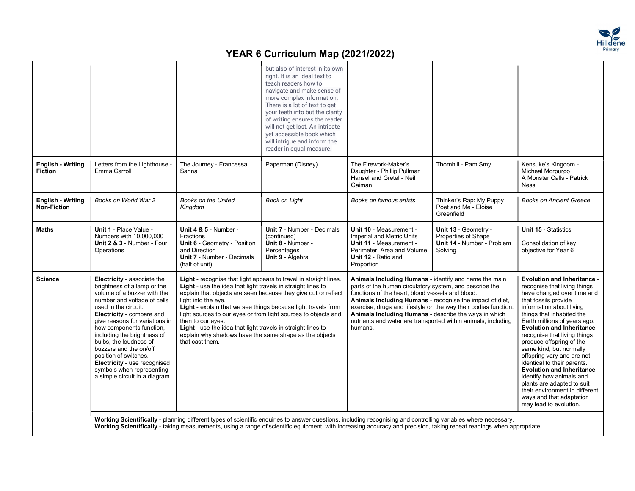

|                                                |                                                                                                                                                                                                                                                                                                                                                                                                                                                        |                                                                                                                                                                                                                                                                                                                                                                                             | but also of interest in its own<br>right. It is an ideal text to<br>teach readers how to<br>navigate and make sense of<br>more complex information.<br>There is a lot of text to get<br>your teeth into but the clarity<br>of writing ensures the reader<br>will not get lost. An intricate<br>yet accessible book which<br>will intrigue and inform the<br>reader in equal measure. |                                                                                                                                                                                                                                                                                                                                                                                                                                         |                                                                                      |                                                                                                                                                                                                                                                                                                                                                                                                                                                                                                                                                                                                     |
|------------------------------------------------|--------------------------------------------------------------------------------------------------------------------------------------------------------------------------------------------------------------------------------------------------------------------------------------------------------------------------------------------------------------------------------------------------------------------------------------------------------|---------------------------------------------------------------------------------------------------------------------------------------------------------------------------------------------------------------------------------------------------------------------------------------------------------------------------------------------------------------------------------------------|--------------------------------------------------------------------------------------------------------------------------------------------------------------------------------------------------------------------------------------------------------------------------------------------------------------------------------------------------------------------------------------|-----------------------------------------------------------------------------------------------------------------------------------------------------------------------------------------------------------------------------------------------------------------------------------------------------------------------------------------------------------------------------------------------------------------------------------------|--------------------------------------------------------------------------------------|-----------------------------------------------------------------------------------------------------------------------------------------------------------------------------------------------------------------------------------------------------------------------------------------------------------------------------------------------------------------------------------------------------------------------------------------------------------------------------------------------------------------------------------------------------------------------------------------------------|
| <b>English - Writing</b><br><b>Fiction</b>     | Letters from the Lighthouse<br>Emma Carroll                                                                                                                                                                                                                                                                                                                                                                                                            | The Journey - Francessa<br>Sanna                                                                                                                                                                                                                                                                                                                                                            | Paperman (Disney)                                                                                                                                                                                                                                                                                                                                                                    | The Firework-Maker's<br>Daughter - Phillip Pullman<br>Hansel and Gretel - Neil<br>Gaiman                                                                                                                                                                                                                                                                                                                                                | Thornhill - Pam Smy                                                                  | Kensuke's Kingdom -<br>Micheal Morpurgo<br>A Monster Calls - Patrick<br><b>Ness</b>                                                                                                                                                                                                                                                                                                                                                                                                                                                                                                                 |
| <b>English - Writing</b><br><b>Non-Fiction</b> | Books on World War 2                                                                                                                                                                                                                                                                                                                                                                                                                                   | Books on the United<br>Kingdom                                                                                                                                                                                                                                                                                                                                                              | Book on Light                                                                                                                                                                                                                                                                                                                                                                        | Books on famous artists                                                                                                                                                                                                                                                                                                                                                                                                                 | Thinker's Rap: My Puppy<br>Poet and Me - Eloise<br>Greenfield                        | <b>Books on Ancient Greece</b>                                                                                                                                                                                                                                                                                                                                                                                                                                                                                                                                                                      |
| Maths                                          | Unit 1 - Place Value -<br>Numbers with 10,000,000<br>Unit 2 & 3 - Number - Four<br>Operations                                                                                                                                                                                                                                                                                                                                                          | <b>Unit 4 &amp; 5 - Number -</b><br>Fractions<br>Unit 6 - Geometry - Position<br>and Direction<br><b>Unit 7 - Number - Decimals</b><br>(half of unit)                                                                                                                                                                                                                                       | <b>Unit 7 - Number - Decimals</b><br>(continued)<br>Unit 8 - Number -<br>Percentages<br>Unit 9 - Algebra                                                                                                                                                                                                                                                                             | Unit 10 - Measurement -<br>Imperial and Metric Units<br>Unit 11 - Measurement -<br>Perimeter, Area and Volume<br>Unit 12 - Ratio and<br>Proportion                                                                                                                                                                                                                                                                                      | Unit 13 - Geometry -<br>Properties of Shape<br>Unit 14 - Number - Problem<br>Solving | <b>Unit 15 - Statistics</b><br>Consolidation of key<br>objective for Year 6                                                                                                                                                                                                                                                                                                                                                                                                                                                                                                                         |
| <b>Science</b>                                 | Electricity - associate the<br>brightness of a lamp or the<br>volume of a buzzer with the<br>number and voltage of cells<br>used in the circuit.<br>Electricity - compare and<br>give reasons for variations in<br>how components function,<br>including the brightness of<br>bulbs, the loudness of<br>buzzers and the on/off<br>position of switches.<br>Electricity - use recognised<br>symbols when representing<br>a simple circuit in a diagram. | Light - recognise that light appears to travel in straight lines.<br>Light - use the idea that light travels in straight lines to<br>light into the eye.<br>Light - explain that we see things because light travels from<br>then to our eyes.<br>Light - use the idea that light travels in straight lines to<br>explain why shadows have the same shape as the objects<br>that cast them. | explain that objects are seen because they give out or reflect<br>light sources to our eyes or from light sources to objects and                                                                                                                                                                                                                                                     | Animals Including Humans - identify and name the main<br>parts of the human circulatory system, and describe the<br>functions of the heart, blood vessels and blood.<br>Animals Including Humans - recognise the impact of diet,<br>exercise, drugs and lifestyle on the way their bodies function<br>Animals Including Humans - describe the ways in which<br>nutrients and water are transported within animals, including<br>humans. |                                                                                      | <b>Evolution and Inheritance -</b><br>recognise that living things<br>have changed over time and<br>that fossils provide<br>information about living<br>things that inhabited the<br>Earth millions of years ago.<br><b>Evolution and Inheritance -</b><br>recognise that living things<br>produce offspring of the<br>same kind, but normally<br>offspring vary and are not<br>identical to their parents.<br><b>Evolution and Inheritance -</b><br>identify how animals and<br>plants are adapted to suit<br>their environment in different<br>ways and that adaptation<br>may lead to evolution. |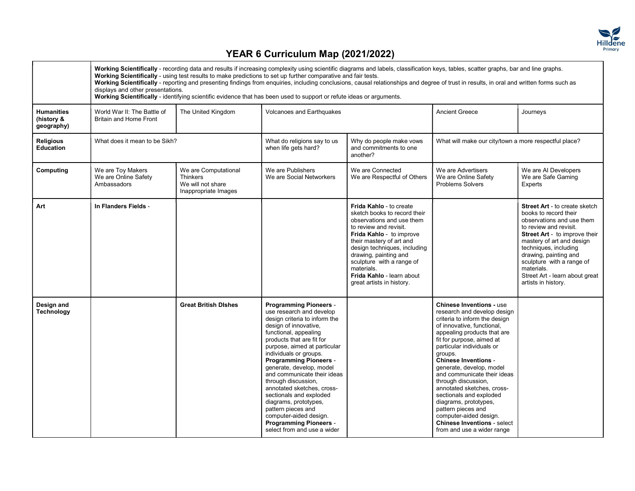

|                                               | displays and other presentations.                            |                                                                                      | Working Scientifically - recording data and results if increasing complexity using scientific diagrams and labels, classification keys, tables, scatter graphs, bar and line graphs.<br>Working Scientifically - using test results to make predictions to set up further comparative and fair tests.<br>Working Scientifically - reporting and presenting findings from enquiries, including conclusions, causal relationships and degree of trust in results, in oral and written forms such as<br>Working Scientifically - identifying scientific evidence that has been used to support or refute ideas or arguments. |                                                                                                                                                                                                                                                                                                                                                    |                                                                                                                                                                                                                                                                                                                                                                                                                                                                                                                                                          |                                                                                                                                                                                                                                                                                                                                                 |
|-----------------------------------------------|--------------------------------------------------------------|--------------------------------------------------------------------------------------|---------------------------------------------------------------------------------------------------------------------------------------------------------------------------------------------------------------------------------------------------------------------------------------------------------------------------------------------------------------------------------------------------------------------------------------------------------------------------------------------------------------------------------------------------------------------------------------------------------------------------|----------------------------------------------------------------------------------------------------------------------------------------------------------------------------------------------------------------------------------------------------------------------------------------------------------------------------------------------------|----------------------------------------------------------------------------------------------------------------------------------------------------------------------------------------------------------------------------------------------------------------------------------------------------------------------------------------------------------------------------------------------------------------------------------------------------------------------------------------------------------------------------------------------------------|-------------------------------------------------------------------------------------------------------------------------------------------------------------------------------------------------------------------------------------------------------------------------------------------------------------------------------------------------|
| <b>Humanities</b><br>(history &<br>geography) | World War II: The Battle of<br><b>Britain and Home Front</b> | The United Kingdom                                                                   | <b>Volcanoes and Earthquakes</b>                                                                                                                                                                                                                                                                                                                                                                                                                                                                                                                                                                                          |                                                                                                                                                                                                                                                                                                                                                    | <b>Ancient Greece</b>                                                                                                                                                                                                                                                                                                                                                                                                                                                                                                                                    | Journeys                                                                                                                                                                                                                                                                                                                                        |
| <b>Religious</b><br><b>Education</b>          | What does it mean to be Sikh?                                |                                                                                      | What do religions say to us<br>when life gets hard?                                                                                                                                                                                                                                                                                                                                                                                                                                                                                                                                                                       | Why do people make vows<br>and commitments to one<br>another?                                                                                                                                                                                                                                                                                      | What will make our city/town a more respectful place?                                                                                                                                                                                                                                                                                                                                                                                                                                                                                                    |                                                                                                                                                                                                                                                                                                                                                 |
| Computing                                     | We are Toy Makers<br>We are Online Safety<br>Ambassadors     | We are Computational<br><b>Thinkers</b><br>We will not share<br>Inappropriate Images | We are Publishers<br>We are Social Networkers                                                                                                                                                                                                                                                                                                                                                                                                                                                                                                                                                                             | We are Connected<br>We are Respectful of Others                                                                                                                                                                                                                                                                                                    | We are Advertisers<br>We are Online Safety<br><b>Problems Solvers</b>                                                                                                                                                                                                                                                                                                                                                                                                                                                                                    | We are AI Developers<br>We are Safe Gaming<br>Experts                                                                                                                                                                                                                                                                                           |
| Art                                           | In Flanders Fields -                                         |                                                                                      |                                                                                                                                                                                                                                                                                                                                                                                                                                                                                                                                                                                                                           | <b>Frida Kahlo - to create</b><br>sketch books to record their<br>observations and use them<br>to review and revisit.<br><b>Frida Kahlo</b> - to improve<br>their mastery of art and<br>design techniques, including<br>drawing, painting and<br>sculpture with a range of<br>materials.<br>Frida Kahlo - learn about<br>great artists in history. |                                                                                                                                                                                                                                                                                                                                                                                                                                                                                                                                                          | <b>Street Art - to create sketch</b><br>books to record their<br>observations and use them<br>to review and revisit.<br><b>Street Art</b> - to improve their<br>mastery of art and design<br>techniques, including<br>drawing, painting and<br>sculpture with a range of<br>materials.<br>Street Art - learn about great<br>artists in history. |
| Design and<br>Technology                      |                                                              | <b>Great British Dishes</b>                                                          | <b>Programming Pioneers -</b><br>use research and develop<br>design criteria to inform the<br>design of innovative,<br>functional, appealing<br>products that are fit for<br>purpose, aimed at particular<br>individuals or groups.<br><b>Programming Pioneers -</b><br>generate, develop, model<br>and communicate their ideas<br>through discussion,<br>annotated sketches, cross-<br>sectionals and exploded<br>diagrams, prototypes,<br>pattern pieces and<br>computer-aided design.<br><b>Programming Pioneers -</b><br>select from and use a wider                                                                  |                                                                                                                                                                                                                                                                                                                                                    | <b>Chinese Inventions - use</b><br>research and develop design<br>criteria to inform the design<br>of innovative, functional,<br>appealing products that are<br>fit for purpose, aimed at<br>particular individuals or<br>groups.<br><b>Chinese Inventions -</b><br>generate, develop, model<br>and communicate their ideas<br>through discussion,<br>annotated sketches, cross-<br>sectionals and exploded<br>diagrams, prototypes,<br>pattern pieces and<br>computer-aided design.<br><b>Chinese Inventions - select</b><br>from and use a wider range |                                                                                                                                                                                                                                                                                                                                                 |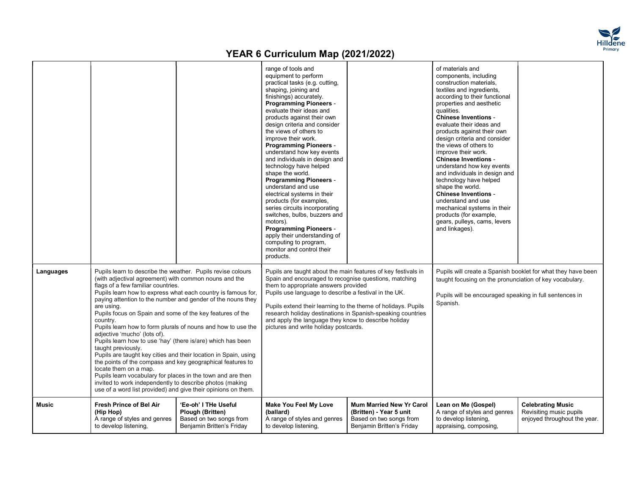

|              |                                                                                                                                                                                                                                                                                                                                                                                                                                                                                                                                                                                                                                                                                                                                                                                                                                                                                                                             |                                                                                                         | range of tools and<br>equipment to perform<br>practical tasks (e.g. cutting,<br>shaping, joining and<br>finishings) accurately.<br><b>Programming Pioneers -</b><br>evaluate their ideas and<br>products against their own<br>design criteria and consider<br>the views of others to<br>improve their work.<br><b>Programming Pioneers -</b><br>understand how key events<br>and individuals in design and<br>technology have helped<br>shape the world.<br><b>Programming Pioneers -</b><br>understand and use<br>electrical systems in their<br>products (for examples,<br>series circuits incorporating<br>switches, bulbs, buzzers and<br>motors).<br><b>Programming Pioneers -</b><br>apply their understanding of<br>computing to program,<br>monitor and control their<br>products. |                                                                                                             | of materials and<br>components, including<br>construction materials,<br>textiles and ingredients,<br>according to their functional<br>properties and aesthetic<br>qualities.<br><b>Chinese Inventions -</b><br>evaluate their ideas and<br>products against their own<br>design criteria and consider<br>the views of others to<br>improve their work.<br><b>Chinese Inventions -</b><br>understand how key events<br>and individuals in design and<br>technology have helped<br>shape the world.<br><b>Chinese Inventions -</b><br>understand and use<br>mechanical systems in their<br>products (for example,<br>gears, pulleys, cams, levers<br>and linkages). |                                                                                     |  |
|--------------|-----------------------------------------------------------------------------------------------------------------------------------------------------------------------------------------------------------------------------------------------------------------------------------------------------------------------------------------------------------------------------------------------------------------------------------------------------------------------------------------------------------------------------------------------------------------------------------------------------------------------------------------------------------------------------------------------------------------------------------------------------------------------------------------------------------------------------------------------------------------------------------------------------------------------------|---------------------------------------------------------------------------------------------------------|--------------------------------------------------------------------------------------------------------------------------------------------------------------------------------------------------------------------------------------------------------------------------------------------------------------------------------------------------------------------------------------------------------------------------------------------------------------------------------------------------------------------------------------------------------------------------------------------------------------------------------------------------------------------------------------------------------------------------------------------------------------------------------------------|-------------------------------------------------------------------------------------------------------------|-------------------------------------------------------------------------------------------------------------------------------------------------------------------------------------------------------------------------------------------------------------------------------------------------------------------------------------------------------------------------------------------------------------------------------------------------------------------------------------------------------------------------------------------------------------------------------------------------------------------------------------------------------------------|-------------------------------------------------------------------------------------|--|
| Languages    | Pupils learn to describe the weather. Pupils revise colours<br>(with adjectival agreement) with common nouns and the<br>flags of a few familiar countries.<br>Pupils learn how to express what each country is famous for,<br>paying attention to the number and gender of the nouns they<br>are using.<br>Pupils focus on Spain and some of the key features of the<br>country.<br>Pupils learn how to form plurals of nouns and how to use the<br>adjective 'mucho' (lots of).<br>Pupils learn how to use 'hay' (there is/are) which has been<br>taught previously.<br>Pupils are taught key cities and their location in Spain, using<br>the points of the compass and key geographical features to<br>locate them on a map.<br>Pupils learn vocabulary for places in the town and are then<br>invited to work independently to describe photos (making<br>use of a word list provided) and give their opinions on them. |                                                                                                         | Pupils are taught about the main features of key festivals in<br>Spain and encouraged to recognise questions, matching<br>them to appropriate answers provided<br>Pupils use language to describe a festival in the UK.<br>Pupils extend their learning to the theme of holidays. Pupils<br>research holiday destinations in Spanish-speaking countries<br>and apply the language they know to describe holiday<br>pictures and write holiday postcards.                                                                                                                                                                                                                                                                                                                                   |                                                                                                             | Pupils will create a Spanish booklet for what they have been<br>taught focusing on the pronunciation of key vocabulary.<br>Pupils will be encouraged speaking in full sentences in<br>Spanish.                                                                                                                                                                                                                                                                                                                                                                                                                                                                    |                                                                                     |  |
| <b>Music</b> | <b>Fresh Prince of Bel Air</b><br>(Hip Hop)<br>A range of styles and genres<br>to develop listening,                                                                                                                                                                                                                                                                                                                                                                                                                                                                                                                                                                                                                                                                                                                                                                                                                        | 'Ee-oh' I THe Useful<br><b>Plough (Britten)</b><br>Based on two songs from<br>Benjamin Britten's Friday | <b>Make You Feel My Love</b><br>(ballard)<br>A range of styles and genres<br>to develop listening,                                                                                                                                                                                                                                                                                                                                                                                                                                                                                                                                                                                                                                                                                         | Mum Married New Yr Carol<br>(Britten) - Year 5 unit<br>Based on two songs from<br>Benjamin Britten's Friday | Lean on Me (Gospel)<br>A range of styles and genres<br>to develop listening,<br>appraising, composing,                                                                                                                                                                                                                                                                                                                                                                                                                                                                                                                                                            | <b>Celebrating Music</b><br>Revisiting music pupils<br>enjoyed throughout the year. |  |